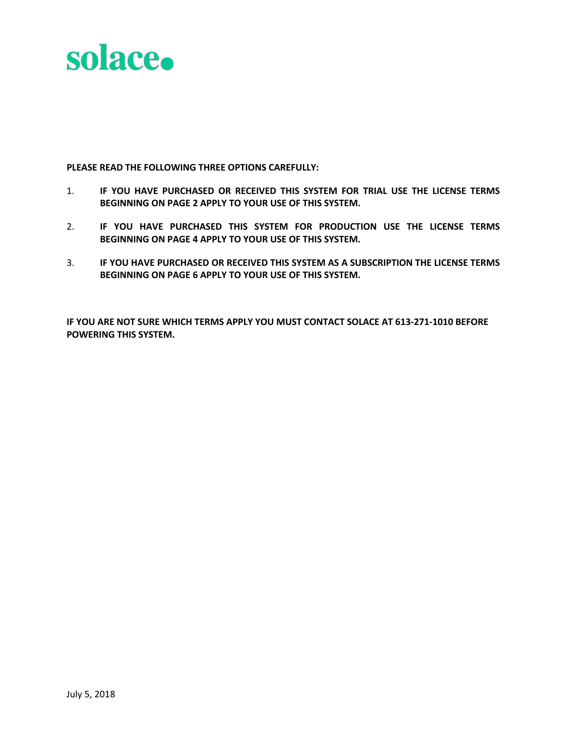

**PLEASE READ THE FOLLOWING THREE OPTIONS CAREFULLY:**

- 1. **IF YOU HAVE PURCHASED OR RECEIVED THIS SYSTEM FOR TRIAL USE THE LICENSE TERMS BEGINNING ON PAGE 2 APPLY TO YOUR USE OF THIS SYSTEM.**
- 2. **IF YOU HAVE PURCHASED THIS SYSTEM FOR PRODUCTION USE THE LICENSE TERMS BEGINNING ON PAGE 4 APPLY TO YOUR USE OF THIS SYSTEM.**
- 3. **IF YOU HAVE PURCHASED OR RECEIVED THIS SYSTEM AS A SUBSCRIPTION THE LICENSE TERMS BEGINNING ON PAGE 6 APPLY TO YOUR USE OF THIS SYSTEM.**

**IF YOU ARE NOT SURE WHICH TERMS APPLY YOU MUST CONTACT SOLACE AT 613-271-1010 BEFORE POWERING THIS SYSTEM.**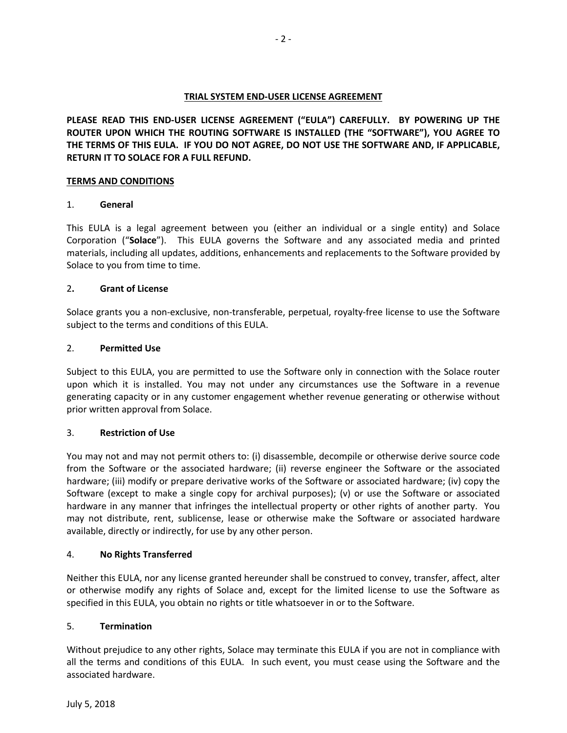# **TRIAL SYSTEM END-USER LICENSE AGREEMENT**

**PLEASE READ THIS END-USER LICENSE AGREEMENT ("EULA") CAREFULLY. BY POWERING UP THE ROUTER UPON WHICH THE ROUTING SOFTWARE IS INSTALLED (THE "SOFTWARE"), YOU AGREE TO THE TERMS OF THIS EULA. IF YOU DO NOT AGREE, DO NOT USE THE SOFTWARE AND, IF APPLICABLE, RETURN IT TO SOLACE FOR A FULL REFUND.** 

# **TERMS AND CONDITIONS**

# 1. **General**

This EULA is a legal agreement between you (either an individual or a single entity) and Solace Corporation ("**Solace**"). This EULA governs the Software and any associated media and printed materials, including all updates, additions, enhancements and replacements to the Software provided by Solace to you from time to time.

# 2**. Grant of License**

Solace grants you a non-exclusive, non-transferable, perpetual, royalty-free license to use the Software subject to the terms and conditions of this EULA.

### 2. **Permitted Use**

Subject to this EULA, you are permitted to use the Software only in connection with the Solace router upon which it is installed. You may not under any circumstances use the Software in a revenue generating capacity or in any customer engagement whether revenue generating or otherwise without prior written approval from Solace.

# 3. **Restriction of Use**

You may not and may not permit others to: (i) disassemble, decompile or otherwise derive source code from the Software or the associated hardware; (ii) reverse engineer the Software or the associated hardware; (iii) modify or prepare derivative works of the Software or associated hardware; (iv) copy the Software (except to make a single copy for archival purposes); (v) or use the Software or associated hardware in any manner that infringes the intellectual property or other rights of another party. You may not distribute, rent, sublicense, lease or otherwise make the Software or associated hardware available, directly or indirectly, for use by any other person.

# 4. **No Rights Transferred**

Neither this EULA, nor any license granted hereunder shall be construed to convey, transfer, affect, alter or otherwise modify any rights of Solace and, except for the limited license to use the Software as specified in this EULA, you obtain no rights or title whatsoever in or to the Software.

# 5. **Termination**

Without prejudice to any other rights, Solace may terminate this EULA if you are not in compliance with all the terms and conditions of this EULA. In such event, you must cease using the Software and the associated hardware.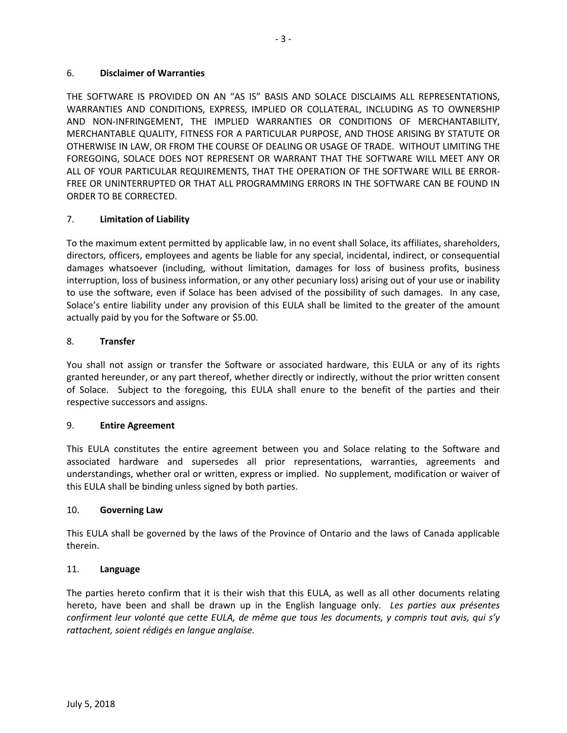THE SOFTWARE IS PROVIDED ON AN "AS IS" BASIS AND SOLACE DISCLAIMS ALL REPRESENTATIONS, WARRANTIES AND CONDITIONS, EXPRESS, IMPLIED OR COLLATERAL, INCLUDING AS TO OWNERSHIP AND NON-INFRINGEMENT, THE IMPLIED WARRANTIES OR CONDITIONS OF MERCHANTABILITY, MERCHANTABLE QUALITY, FITNESS FOR A PARTICULAR PURPOSE, AND THOSE ARISING BY STATUTE OR OTHERWISE IN LAW, OR FROM THE COURSE OF DEALING OR USAGE OF TRADE. WITHOUT LIMITING THE FOREGOING, SOLACE DOES NOT REPRESENT OR WARRANT THAT THE SOFTWARE WILL MEET ANY OR ALL OF YOUR PARTICULAR REQUIREMENTS, THAT THE OPERATION OF THE SOFTWARE WILL BE ERROR-FREE OR UNINTERRUPTED OR THAT ALL PROGRAMMING ERRORS IN THE SOFTWARE CAN BE FOUND IN ORDER TO BE CORRECTED.

# 7. **Limitation of Liability**

To the maximum extent permitted by applicable law, in no event shall Solace, its affiliates, shareholders, directors, officers, employees and agents be liable for any special, incidental, indirect, or consequential damages whatsoever (including, without limitation, damages for loss of business profits, business interruption, loss of business information, or any other pecuniary loss) arising out of your use or inability to use the software, even if Solace has been advised of the possibility of such damages. In any case, Solace's entire liability under any provision of this EULA shall be limited to the greater of the amount actually paid by you for the Software or \$5.00.

# 8. **Transfer**

You shall not assign or transfer the Software or associated hardware, this EULA or any of its rights granted hereunder, or any part thereof, whether directly or indirectly, without the prior written consent of Solace. Subject to the foregoing, this EULA shall enure to the benefit of the parties and their respective successors and assigns.

# 9. **Entire Agreement**

This EULA constitutes the entire agreement between you and Solace relating to the Software and associated hardware and supersedes all prior representations, warranties, agreements and understandings, whether oral or written, express or implied. No supplement, modification or waiver of this EULA shall be binding unless signed by both parties.

# 10. **Governing Law**

This EULA shall be governed by the laws of the Province of Ontario and the laws of Canada applicable therein.

# 11. **Language**

The parties hereto confirm that it is their wish that this EULA, as well as all other documents relating hereto, have been and shall be drawn up in the English language only. *Les parties aux présentes confirment leur volonté que cette EULA, de même que tous les documents, y compris tout avis, qui s'y rattachent, soient rédigés en langue anglaise.*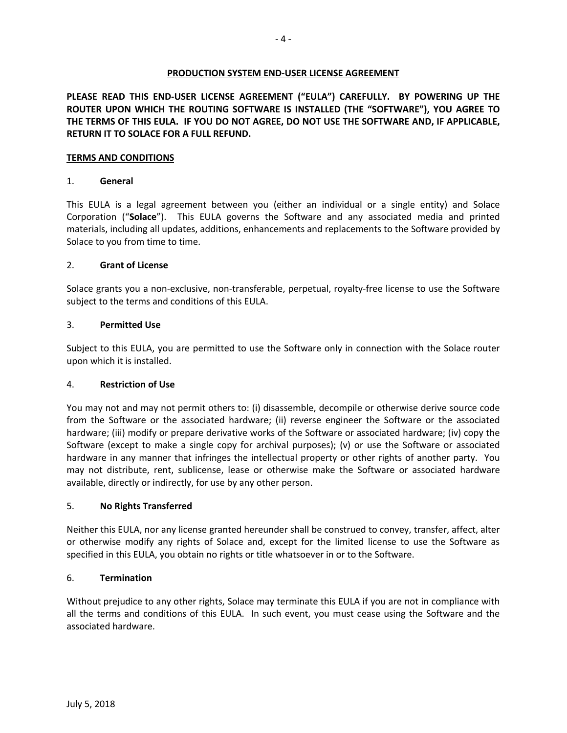### **PRODUCTION SYSTEM END-USER LICENSE AGREEMENT**

**PLEASE READ THIS END-USER LICENSE AGREEMENT ("EULA") CAREFULLY. BY POWERING UP THE ROUTER UPON WHICH THE ROUTING SOFTWARE IS INSTALLED (THE "SOFTWARE"), YOU AGREE TO THE TERMS OF THIS EULA. IF YOU DO NOT AGREE, DO NOT USE THE SOFTWARE AND, IF APPLICABLE, RETURN IT TO SOLACE FOR A FULL REFUND.** 

### **TERMS AND CONDITIONS**

### 1. **General**

This EULA is a legal agreement between you (either an individual or a single entity) and Solace Corporation ("**Solace**"). This EULA governs the Software and any associated media and printed materials, including all updates, additions, enhancements and replacements to the Software provided by Solace to you from time to time.

### 2. **Grant of License**

Solace grants you a non-exclusive, non-transferable, perpetual, royalty-free license to use the Software subject to the terms and conditions of this EULA.

### 3. **Permitted Use**

Subject to this EULA, you are permitted to use the Software only in connection with the Solace router upon which it is installed.

#### 4. **Restriction of Use**

You may not and may not permit others to: (i) disassemble, decompile or otherwise derive source code from the Software or the associated hardware; (ii) reverse engineer the Software or the associated hardware; (iii) modify or prepare derivative works of the Software or associated hardware; (iv) copy the Software (except to make a single copy for archival purposes); (v) or use the Software or associated hardware in any manner that infringes the intellectual property or other rights of another party. You may not distribute, rent, sublicense, lease or otherwise make the Software or associated hardware available, directly or indirectly, for use by any other person.

#### 5. **No Rights Transferred**

Neither this EULA, nor any license granted hereunder shall be construed to convey, transfer, affect, alter or otherwise modify any rights of Solace and, except for the limited license to use the Software as specified in this EULA, you obtain no rights or title whatsoever in or to the Software.

# 6. **Termination**

Without prejudice to any other rights, Solace may terminate this EULA if you are not in compliance with all the terms and conditions of this EULA. In such event, you must cease using the Software and the associated hardware.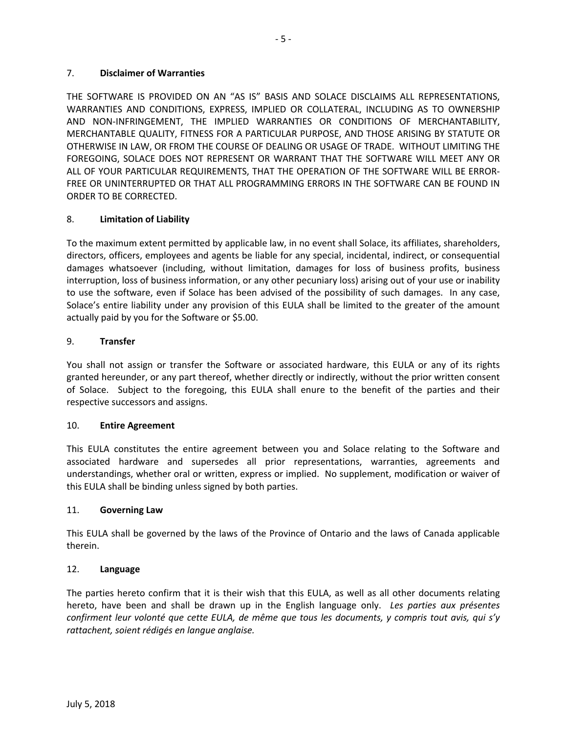#### 7. **Disclaimer of Warranties**

THE SOFTWARE IS PROVIDED ON AN "AS IS" BASIS AND SOLACE DISCLAIMS ALL REPRESENTATIONS, WARRANTIES AND CONDITIONS, EXPRESS, IMPLIED OR COLLATERAL, INCLUDING AS TO OWNERSHIP AND NON-INFRINGEMENT, THE IMPLIED WARRANTIES OR CONDITIONS OF MERCHANTABILITY, MERCHANTABLE QUALITY, FITNESS FOR A PARTICULAR PURPOSE, AND THOSE ARISING BY STATUTE OR OTHERWISE IN LAW, OR FROM THE COURSE OF DEALING OR USAGE OF TRADE. WITHOUT LIMITING THE FOREGOING, SOLACE DOES NOT REPRESENT OR WARRANT THAT THE SOFTWARE WILL MEET ANY OR ALL OF YOUR PARTICULAR REQUIREMENTS, THAT THE OPERATION OF THE SOFTWARE WILL BE ERROR-FREE OR UNINTERRUPTED OR THAT ALL PROGRAMMING ERRORS IN THE SOFTWARE CAN BE FOUND IN ORDER TO BE CORRECTED.

- 5 -

# 8. **Limitation of Liability**

To the maximum extent permitted by applicable law, in no event shall Solace, its affiliates, shareholders, directors, officers, employees and agents be liable for any special, incidental, indirect, or consequential damages whatsoever (including, without limitation, damages for loss of business profits, business interruption, loss of business information, or any other pecuniary loss) arising out of your use or inability to use the software, even if Solace has been advised of the possibility of such damages. In any case, Solace's entire liability under any provision of this EULA shall be limited to the greater of the amount actually paid by you for the Software or \$5.00.

### 9. **Transfer**

You shall not assign or transfer the Software or associated hardware, this EULA or any of its rights granted hereunder, or any part thereof, whether directly or indirectly, without the prior written consent of Solace. Subject to the foregoing, this EULA shall enure to the benefit of the parties and their respective successors and assigns.

#### 10. **Entire Agreement**

This EULA constitutes the entire agreement between you and Solace relating to the Software and associated hardware and supersedes all prior representations, warranties, agreements and understandings, whether oral or written, express or implied. No supplement, modification or waiver of this EULA shall be binding unless signed by both parties.

#### 11. **Governing Law**

This EULA shall be governed by the laws of the Province of Ontario and the laws of Canada applicable therein.

#### 12. **Language**

The parties hereto confirm that it is their wish that this EULA, as well as all other documents relating hereto, have been and shall be drawn up in the English language only. *Les parties aux présentes confirment leur volonté que cette EULA, de même que tous les documents, y compris tout avis, qui s'y rattachent, soient rédigés en langue anglaise.*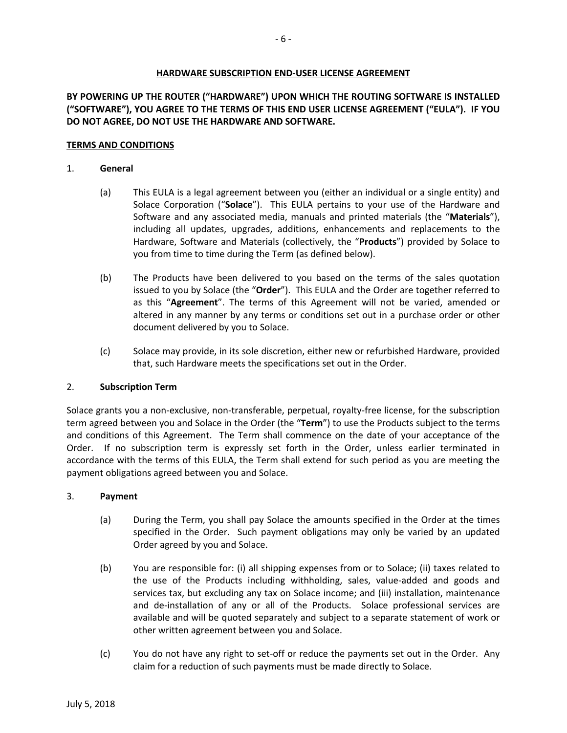# **HARDWARE SUBSCRIPTION END-USER LICENSE AGREEMENT**

# **BY POWERING UP THE ROUTER ("HARDWARE") UPON WHICH THE ROUTING SOFTWARE IS INSTALLED ("SOFTWARE"), YOU AGREE TO THE TERMS OF THIS END USER LICENSE AGREEMENT ("EULA"). IF YOU DO NOT AGREE, DO NOT USE THE HARDWARE AND SOFTWARE.**

#### **TERMS AND CONDITIONS**

#### 1. **General**

- (a) This EULA is a legal agreement between you (either an individual or a single entity) and Solace Corporation ("**Solace**"). This EULA pertains to your use of the Hardware and Software and any associated media, manuals and printed materials (the "**Materials**"), including all updates, upgrades, additions, enhancements and replacements to the Hardware, Software and Materials (collectively, the "**Products**") provided by Solace to you from time to time during the Term (as defined below).
- (b) The Products have been delivered to you based on the terms of the sales quotation issued to you by Solace (the "**Order**"). This EULA and the Order are together referred to as this "**Agreement**". The terms of this Agreement will not be varied, amended or altered in any manner by any terms or conditions set out in a purchase order or other document delivered by you to Solace.
- (c) Solace may provide, in its sole discretion, either new or refurbished Hardware, provided that, such Hardware meets the specifications set out in the Order.

#### 2. **Subscription Term**

Solace grants you a non-exclusive, non-transferable, perpetual, royalty-free license, for the subscription term agreed between you and Solace in the Order (the "**Term**") to use the Products subject to the terms and conditions of this Agreement. The Term shall commence on the date of your acceptance of the Order. If no subscription term is expressly set forth in the Order, unless earlier terminated in accordance with the terms of this EULA, the Term shall extend for such period as you are meeting the payment obligations agreed between you and Solace.

#### 3. **Payment**

- (a) During the Term, you shall pay Solace the amounts specified in the Order at the times specified in the Order. Such payment obligations may only be varied by an updated Order agreed by you and Solace.
- (b) You are responsible for: (i) all shipping expenses from or to Solace; (ii) taxes related to the use of the Products including withholding, sales, value-added and goods and services tax, but excluding any tax on Solace income; and (iii) installation, maintenance and de-installation of any or all of the Products. Solace professional services are available and will be quoted separately and subject to a separate statement of work or other written agreement between you and Solace.
- (c) You do not have any right to set-off or reduce the payments set out in the Order. Any claim for a reduction of such payments must be made directly to Solace.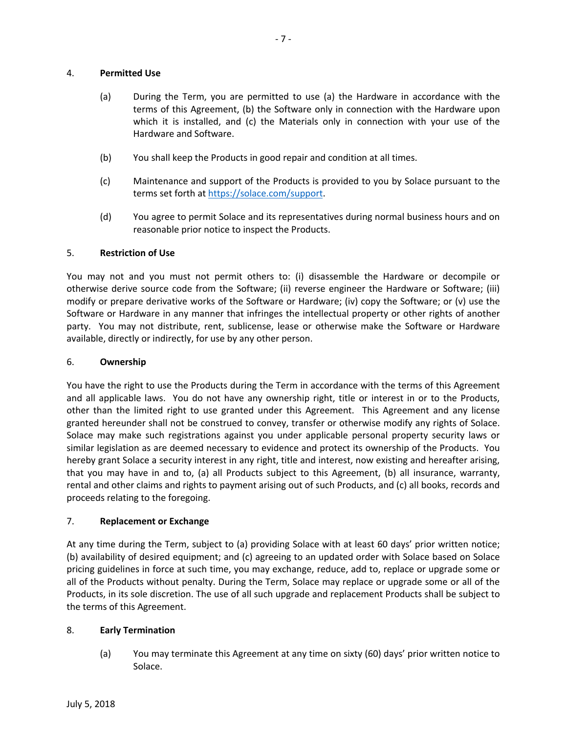# 4. **Permitted Use**

- (a) During the Term, you are permitted to use (a) the Hardware in accordance with the terms of this Agreement, (b) the Software only in connection with the Hardware upon which it is installed, and (c) the Materials only in connection with your use of the Hardware and Software.
- (b) You shall keep the Products in good repair and condition at all times.
- (c) Maintenance and support of the Products is provided to you by Solace pursuant to the terms set forth at https://solace.com/support.
- (d) You agree to permit Solace and its representatives during normal business hours and on reasonable prior notice to inspect the Products.

# 5. **Restriction of Use**

You may not and you must not permit others to: (i) disassemble the Hardware or decompile or otherwise derive source code from the Software; (ii) reverse engineer the Hardware or Software; (iii) modify or prepare derivative works of the Software or Hardware; (iv) copy the Software; or (v) use the Software or Hardware in any manner that infringes the intellectual property or other rights of another party. You may not distribute, rent, sublicense, lease or otherwise make the Software or Hardware available, directly or indirectly, for use by any other person.

# 6. **Ownership**

You have the right to use the Products during the Term in accordance with the terms of this Agreement and all applicable laws. You do not have any ownership right, title or interest in or to the Products, other than the limited right to use granted under this Agreement. This Agreement and any license granted hereunder shall not be construed to convey, transfer or otherwise modify any rights of Solace. Solace may make such registrations against you under applicable personal property security laws or similar legislation as are deemed necessary to evidence and protect its ownership of the Products. You hereby grant Solace a security interest in any right, title and interest, now existing and hereafter arising, that you may have in and to, (a) all Products subject to this Agreement, (b) all insurance, warranty, rental and other claims and rights to payment arising out of such Products, and (c) all books, records and proceeds relating to the foregoing.

# 7. **Replacement or Exchange**

At any time during the Term, subject to (a) providing Solace with at least 60 days' prior written notice; (b) availability of desired equipment; and (c) agreeing to an updated order with Solace based on Solace pricing guidelines in force at such time, you may exchange, reduce, add to, replace or upgrade some or all of the Products without penalty. During the Term, Solace may replace or upgrade some or all of the Products, in its sole discretion. The use of all such upgrade and replacement Products shall be subject to the terms of this Agreement.

# 8. **Early Termination**

(a) You may terminate this Agreement at any time on sixty (60) days' prior written notice to Solace.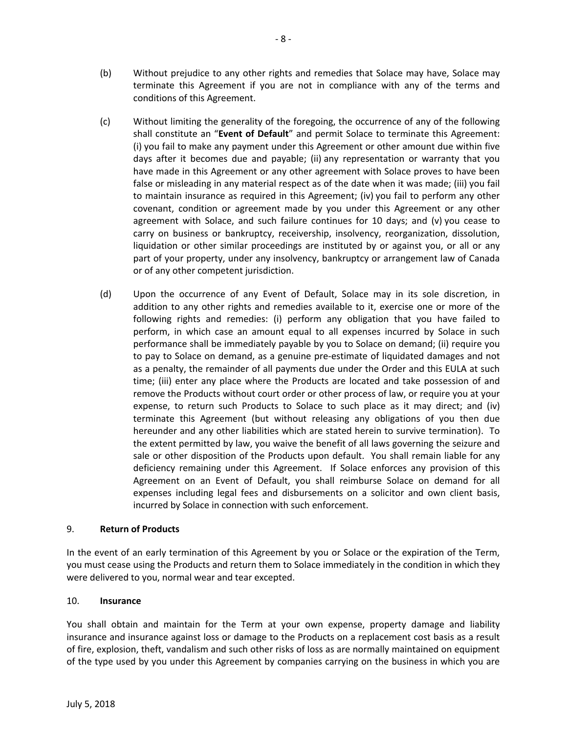- (b) Without prejudice to any other rights and remedies that Solace may have, Solace may terminate this Agreement if you are not in compliance with any of the terms and conditions of this Agreement.
- (c) Without limiting the generality of the foregoing, the occurrence of any of the following shall constitute an "**Event of Default**" and permit Solace to terminate this Agreement: (i) you fail to make any payment under this Agreement or other amount due within five days after it becomes due and payable; (ii) any representation or warranty that you have made in this Agreement or any other agreement with Solace proves to have been false or misleading in any material respect as of the date when it was made; (iii) you fail to maintain insurance as required in this Agreement; (iv) you fail to perform any other covenant, condition or agreement made by you under this Agreement or any other agreement with Solace, and such failure continues for 10 days; and (v) you cease to carry on business or bankruptcy, receivership, insolvency, reorganization, dissolution, liquidation or other similar proceedings are instituted by or against you, or all or any part of your property, under any insolvency, bankruptcy or arrangement law of Canada or of any other competent jurisdiction.
- (d) Upon the occurrence of any Event of Default, Solace may in its sole discretion, in addition to any other rights and remedies available to it, exercise one or more of the following rights and remedies: (i) perform any obligation that you have failed to perform, in which case an amount equal to all expenses incurred by Solace in such performance shall be immediately payable by you to Solace on demand; (ii) require you to pay to Solace on demand, as a genuine pre-estimate of liquidated damages and not as a penalty, the remainder of all payments due under the Order and this EULA at such time; (iii) enter any place where the Products are located and take possession of and remove the Products without court order or other process of law, or require you at your expense, to return such Products to Solace to such place as it may direct; and (iv) terminate this Agreement (but without releasing any obligations of you then due hereunder and any other liabilities which are stated herein to survive termination). To the extent permitted by law, you waive the benefit of all laws governing the seizure and sale or other disposition of the Products upon default. You shall remain liable for any deficiency remaining under this Agreement. If Solace enforces any provision of this Agreement on an Event of Default, you shall reimburse Solace on demand for all expenses including legal fees and disbursements on a solicitor and own client basis, incurred by Solace in connection with such enforcement.

# 9. **Return of Products**

In the event of an early termination of this Agreement by you or Solace or the expiration of the Term, you must cease using the Products and return them to Solace immediately in the condition in which they were delivered to you, normal wear and tear excepted.

# 10. **Insurance**

You shall obtain and maintain for the Term at your own expense, property damage and liability insurance and insurance against loss or damage to the Products on a replacement cost basis as a result of fire, explosion, theft, vandalism and such other risks of loss as are normally maintained on equipment of the type used by you under this Agreement by companies carrying on the business in which you are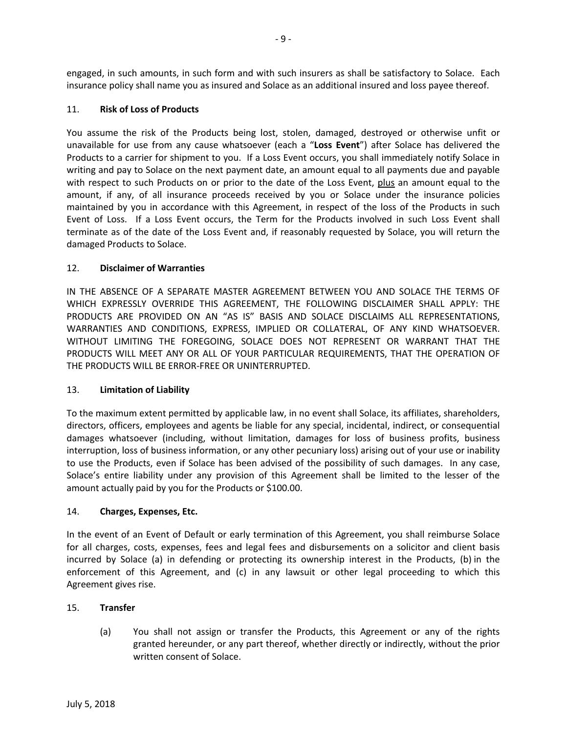engaged, in such amounts, in such form and with such insurers as shall be satisfactory to Solace. Each insurance policy shall name you as insured and Solace as an additional insured and loss payee thereof.

# 11. **Risk of Loss of Products**

You assume the risk of the Products being lost, stolen, damaged, destroyed or otherwise unfit or unavailable for use from any cause whatsoever (each a "**Loss Event**") after Solace has delivered the Products to a carrier for shipment to you. If a Loss Event occurs, you shall immediately notify Solace in writing and pay to Solace on the next payment date, an amount equal to all payments due and payable with respect to such Products on or prior to the date of the Loss Event, plus an amount equal to the amount, if any, of all insurance proceeds received by you or Solace under the insurance policies maintained by you in accordance with this Agreement, in respect of the loss of the Products in such Event of Loss. If a Loss Event occurs, the Term for the Products involved in such Loss Event shall terminate as of the date of the Loss Event and, if reasonably requested by Solace, you will return the damaged Products to Solace.

# 12. **Disclaimer of Warranties**

IN THE ABSENCE OF A SEPARATE MASTER AGREEMENT BETWEEN YOU AND SOLACE THE TERMS OF WHICH EXPRESSLY OVERRIDE THIS AGREEMENT, THE FOLLOWING DISCLAIMER SHALL APPLY: THE PRODUCTS ARE PROVIDED ON AN "AS IS" BASIS AND SOLACE DISCLAIMS ALL REPRESENTATIONS, WARRANTIES AND CONDITIONS, EXPRESS, IMPLIED OR COLLATERAL, OF ANY KIND WHATSOEVER. WITHOUT LIMITING THE FOREGOING, SOLACE DOES NOT REPRESENT OR WARRANT THAT THE PRODUCTS WILL MEET ANY OR ALL OF YOUR PARTICULAR REQUIREMENTS, THAT THE OPERATION OF THE PRODUCTS WILL BE ERROR-FREE OR UNINTERRUPTED.

# 13. **Limitation of Liability**

To the maximum extent permitted by applicable law, in no event shall Solace, its affiliates, shareholders, directors, officers, employees and agents be liable for any special, incidental, indirect, or consequential damages whatsoever (including, without limitation, damages for loss of business profits, business interruption, loss of business information, or any other pecuniary loss) arising out of your use or inability to use the Products, even if Solace has been advised of the possibility of such damages. In any case, Solace's entire liability under any provision of this Agreement shall be limited to the lesser of the amount actually paid by you for the Products or \$100.00.

# 14. **Charges, Expenses, Etc.**

In the event of an Event of Default or early termination of this Agreement, you shall reimburse Solace for all charges, costs, expenses, fees and legal fees and disbursements on a solicitor and client basis incurred by Solace (a) in defending or protecting its ownership interest in the Products, (b) in the enforcement of this Agreement, and (c) in any lawsuit or other legal proceeding to which this Agreement gives rise.

# 15. **Transfer**

(a) You shall not assign or transfer the Products, this Agreement or any of the rights granted hereunder, or any part thereof, whether directly or indirectly, without the prior written consent of Solace.